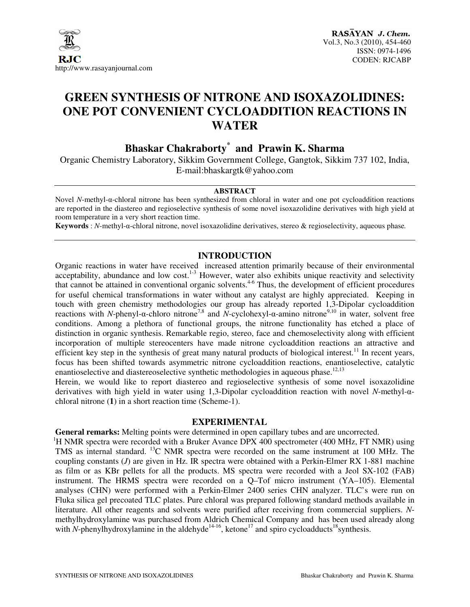

# **GREEN SYNTHESIS OF NITRONE AND ISOXAZOLIDINES: ONE POT CONVENIENT CYCLOADDITION REACTIONS IN WATER**

## **Bhaskar Chakraborty\* and Prawin K. Sharma**

Organic Chemistry Laboratory, Sikkim Government College, Gangtok, Sikkim 737 102, India, E-mail:bhaskargtk@yahoo.com

#### **ABSTRACT**

Novel *N*-methyl-α-chloral nitrone has been synthesized from chloral in water and one pot cycloaddition reactions are reported in the diastereo and regioselective synthesis of some novel isoxazolidine derivatives with high yield at room temperature in a very short reaction time.

**Keywords** : *N*-methyl-α-chloral nitrone, novel isoxazolidine derivatives, stereo & regioselectivity, aqueous phase*.* 

## **INTRODUCTION**

Organic reactions in water have received increased attention primarily because of their environmental acceptability, abundance and low cost. $1-3$  However, water also exhibits unique reactivity and selectivity that cannot be attained in conventional organic solvents.<sup>4-6</sup> Thus, the development of efficient procedures for useful chemical transformations in water without any catalyst are highly appreciated. Keeping in touch with green chemistry methodologies our group has already reported 1,3-Dipolar cycloaddition reactions with *N*-phenyl-α-chloro nitrone7,8 and *N-*cyclohexyl-α-amino nitrone9,10 in water, solvent free conditions. Among a plethora of functional groups, the nitrone functionality has etched a place of distinction in organic synthesis. Remarkable regio, stereo, face and chemoselectivity along with efficient incorporation of multiple stereocenters have made nitrone cycloaddition reactions an attractive and efficient key step in the synthesis of great many natural products of biological interest.<sup>11</sup> In recent years, focus has been shifted towards asymmetric nitrone cycloaddition reactions, enantioselective, catalytic enantioselective and diastereoselective synthetic methodologies in aqueous phase.<sup>12,13</sup>

Herein, we would like to report diastereo and regioselective synthesis of some novel isoxazolidine derivatives with high yield in water using 1,3-Dipolar cycloaddition reaction with novel *N*-methyl-αchloral nitrone (**1**) in a short reaction time (Scheme-1).

#### **EXPERIMENTAL**

**General remarks:** Melting points were determined in open capillary tubes and are uncorrected.

<sup>1</sup>H NMR spectra were recorded with a Bruker Avance DPX 400 spectrometer (400 MHz, FT NMR) using TMS as internal standard. <sup>13</sup>C NMR spectra were recorded on the same instrument at 100 MHz. The coupling constants (*J*) are given in Hz. IR spectra were obtained with a Perkin-Elmer RX 1-881 machine as film or as KBr pellets for all the products. MS spectra were recorded with a Jeol SX-102 (FAB) instrument. The HRMS spectra were recorded on a Q–Tof micro instrument (YA–105). Elemental analyses (CHN) were performed with a Perkin-Elmer 2400 series CHN analyzer. TLC's were run on Fluka silica gel precoated TLC plates. Pure chloral was prepared following standard methods available in literature. All other reagents and solvents were purified after receiving from commercial suppliers. *N*methylhydroxylamine was purchased from Aldrich Chemical Company and has been used already along with *N*-phenylhydroxylamine in the aldehyde<sup>14-16</sup>, ketone<sup>17</sup> and spiro cycloadducts<sup>18</sup>synthesis.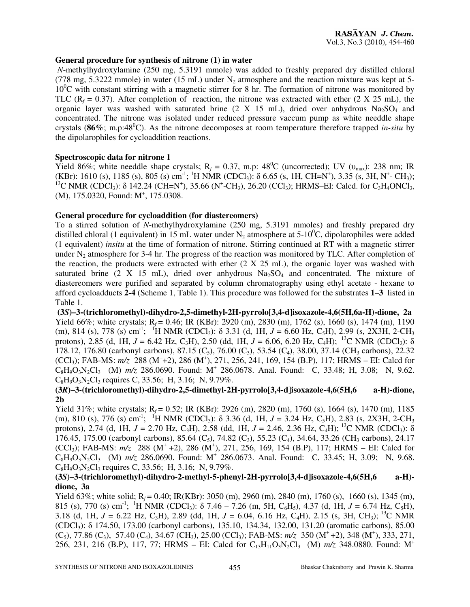### **General procedure for synthesis of nitrone (1) in water**

 *N*-methylhydroxylamine (250 mg, 5.3191 mmole) was added to freshly prepared dry distilled chloral (778 mg, 5.3222 mmole) in water (15 mL) under  $N_2$  atmosphere and the reaction mixture was kept at 5- $10^0$ C with constant stirring with a magnetic stirrer for 8 hr. The formation of nitrone was monitored by TLC ( $R_f$  = 0.37). After completion of reaction, the nitrone was extracted with ether (2 X 25 mL), the organic layer was washed with saturated brine (2 X 15 mL), dried over anhydrous  $Na<sub>2</sub>SO<sub>4</sub>$  and concentrated. The nitrone was isolated under reduced pressure vaccum pump as white needdle shape crystals ( $86\%$ ; m.p: $48^{\circ}$ C). As the nitrone decomposes at room temperature therefore trapped *in-situ* by the dipolarophiles for cycloaddition reactions.

## **Spectroscopic data for nitrone 1**

Yield 86%; white needdle shape crystals;  $R_f = 0.37$ , m.p: 48<sup>0</sup>C (uncorrected); UV ( $v_{\text{max}}$ ): 238 nm; IR (KBr): 1610 (s), 1185 (s), 805 (s) cm<sup>-1</sup>; <sup>1</sup>H NMR (CDCl<sub>3</sub>):  $\delta$  6.65 (s, 1H, CH=N<sup>+</sup>), 3.35 (s, 3H, N<sup>+</sup>-CH<sub>3</sub>); <sup>13</sup>C NMR (CDCl<sub>3</sub>): δ 142.24 (CH=N<sup>+</sup>), 35.66 (N<sup>+</sup>-CH<sub>3</sub>), 26.20 (CCl<sub>3</sub>); HRMS–EI: Calcd. for C<sub>3</sub>H<sub>4</sub>ONCl<sub>3</sub>, (M), 175.0320, Found: M<sup>+</sup>, 175.0308.

## **General procedure for cycloaddition (for diastereomers)**

To a stirred solution of *N*-methylhydroxylamine (250 mg, 5.3191 mmoles) and freshly prepared dry distilled chloral (1 equivalent) in 15 mL water under  $N_2$  atmosphere at 5-10<sup>o</sup>C, dipolarophiles were added (1 equivalent) *insitu* at the time of formation of nitrone. Stirring continued at RT with a magnetic stirrer under  $N_2$  atmosphere for 3-4 hr. The progress of the reaction was monitored by TLC. After completion of the reaction, the products were extracted with ether  $(2 \text{ X } 25 \text{ mL})$ , the organic layer was washed with saturated brine (2 X 15 mL), dried over anhydrous  $Na<sub>2</sub>SO<sub>4</sub>$  and concentrated. The mixture of diastereomers were purified and separated by column chromatography using ethyl acetate - hexane to afford cycloadducts **2-4** (Scheme 1, Table 1). This procedure was followed for the substrates **1**–**3** listed in Table 1.

 **(3***S***)–3-(trichloromethyl)-dihydro-2,5-dimethyl-2H-pyrrolo[3,4-d]isoxazole-4,6(5H,6a-H)-dione, 2a**  Yield 66%; white crystals; R<sub>f</sub> = 0.46; IR (KBr): 2920 (m), 2830 (m), 1762 (s), 1660 (s), 1474 (m), 1190 (m), 814 (s), 778 (s) cm<sup>-1</sup>; <sup>1</sup>H NMR (CDCl<sub>3</sub>):  $\delta$  3.31 (d, 1H, *J* = 6.60 Hz, C<sub>5</sub>H), 2.99 (s, 2X3H, 2-CH<sub>3</sub>) protons), 2.85 (d, 1H, *J* = 6.42 Hz, C3H), 2.50 (dd, 1H, *J* = 6.06, 6.20 Hz, C4H);<sup>13</sup>C NMR (CDCl3): δ 178.12, 176.80 (carbonyl carbons), 87.15 (C<sub>5</sub>), 76.00 (C<sub>3</sub>), 53.54 (C<sub>4</sub>), 38.00, 37.14 (CH<sub>3</sub> carbons), 22.32 (CCl<sub>3</sub>); FAB-MS:  $m/z$  288 (M<sup>+</sup>+2), 286 (M<sup>+</sup>), 271, 256, 241, 169, 154 (B.P), 117; HRMS – EI: Calcd for  $C_8H_9O_3N_2Cl_3$  (M)  $m/z$  286.0690. Found: M<sup>+</sup> 286.0678. Anal. Found: C, 33.48; H, 3.08; N, 9.62.  $C_8H_9O_3N_2Cl_3$  requires C, 33.56; H, 3.16; N, 9.79%.

## **(3***R***)–3-(trichloromethyl)-dihydro-2,5-dimethyl-2H-pyrrolo[3,4-d]isoxazole-4,6(5H,6 a-H)-dione, 2b**

Yield 31%; white crystals; R<sub>f</sub> = 0.52; IR (KBr): 2926 (m), 2820 (m), 1760 (s), 1664 (s), 1470 (m), 1185 (m), 810 (s), 776 (s) cm<sup>-1</sup>; <sup>1</sup>H NMR (CDCl<sub>3</sub>):  $\delta$  3.36 (d, 1H, *J* = 3.24 Hz, C<sub>5</sub>H), 2.83 (s, 2X3H, 2-CH<sub>3</sub>) protons), 2.74 (d, 1H,  $J = 2.70$  Hz, C<sub>3</sub>H), 2.58 (dd, 1H,  $J = 2.46$ , 2.36 Hz, C<sub>4</sub>H); <sup>13</sup>C NMR (CDCl<sub>3</sub>):  $\delta$ 176.45, 175.00 (carbonyl carbons), 85.64 (C<sub>5</sub>), 74.82 (C<sub>3</sub>), 55.23 (C<sub>4</sub>), 34.64, 33.26 (CH<sub>3</sub> carbons), 24.17 (CCl<sub>3</sub>); FAB-MS:  $m/z$  288 (M<sup>+</sup> +2), 286 (M<sup>+</sup>), 271, 256, 169, 154 (B.P), 117; HRMS – EI: Calcd for  $C_8H_9O_3N_2Cl_3$  (M)  $m/z$  286.0690. Found: M<sup>+</sup> 286.0673. Anal. Found: C, 33.45; H, 3.09; N, 9.68.  $C_8H_9O_3N_2Cl_3$  requires C, 33.56; H, 3.16; N, 9.79%.

## **(3***S***)–3-(trichloromethyl)-dihydro-2-methyl-5-phenyl-2H-pyrrolo[3,4-d]isoxazole-4,6(5H,6 a-H) dione, 3a**

Yield 63%; white solid; R<sub>f</sub> = 0.40; IR(KBr): 3050 (m), 2960 (m), 2840 (m), 1760 (s), 1660 (s), 1345 (m), 815 (s), 770 (s) cm<sup>-1</sup>; <sup>1</sup>H NMR (CDCl<sub>3</sub>):  $\delta$  7.46 – 7.26 (m, 5H, C<sub>6</sub>H<sub>5</sub>), 4.37 (d, 1H, *J* = 6.74 Hz, C<sub>5</sub>H), 3.18 (d, 1H,  $J = 6.22$  Hz, C<sub>3</sub>H), 2.89 (dd, 1H,  $J = 6.04$ , 6.16 Hz, C<sub>4</sub>H), 2.15 (s, 3H, CH<sub>3</sub>); <sup>13</sup>C NMR (CDCl3): δ 174.50, 173.00 (carbonyl carbons), 135.10, 134.34, 132.00, 131.20 (aromatic carbons), 85.00  $(C_5)$ , 77.86  $(C_3)$ , 57.40  $(C_4)$ , 34.67  $(CH_3)$ , 25.00  $(CCl_3)$ ; FAB-MS:  $m/z$  350  $(M^+ +2)$ , 348  $(M^+)$ , 333, 271, 256, 231, 216 (B.P), 117, 77; HRMS – EI: Calcd for C<sub>13</sub>H<sub>11</sub>O<sub>3</sub>N<sub>2</sub>Cl<sub>3</sub> (M)  $m/z$  348.0880. Found: M<sup>+</sup>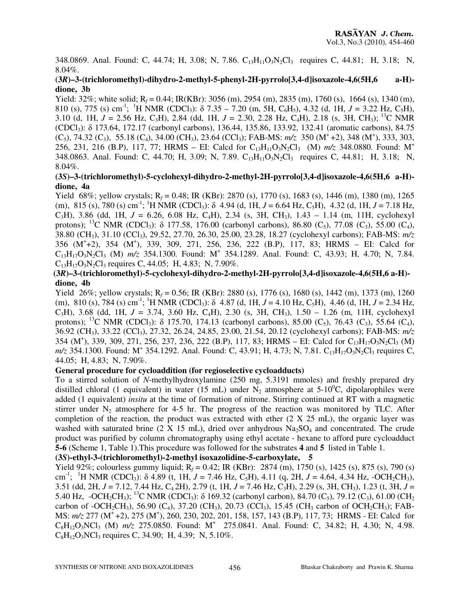348.0869. Anal. Found: C, 44.74; H, 3.08; N, 7.86. C<sub>13</sub>H<sub>11</sub>O<sub>3</sub>N<sub>2</sub>Cl<sub>3</sub> requires C, 44.81; H, 3.18; N, 8.04%.

## **(3***R***)–3-(trichloromethyl)-dihydro-2-methyl-5-phenyl-2H-pyrrolo[3,4-d]isoxazole-4,6(5H,6 a-H) dione, 3b**

Yield: 32%; white solid;  $R_f = 0.44$ ; IR(KBr): 3056 (m), 2954 (m), 2835 (m), 1760 (s), 1664 (s), 1340 (m), 810 (s), 775 (s) cm<sup>-1</sup>; <sup>1</sup>H NMR (CDCl<sub>3</sub>):  $\delta$  7.35 – 7.20 (m, 5H, C<sub>6</sub>H<sub>5</sub>), 4.32 (d, 1H, *J* = 3.22 Hz, C<sub>5</sub>H), 3.10 (d, 1H,  $J = 2.56$  Hz, C<sub>3</sub>H), 2.84 (dd, 1H,  $J = 2.30$ , 2.28 Hz, C<sub>4</sub>H), 2.18 (s, 3H, CH<sub>3</sub>); <sup>13</sup>C NMR (CDCl3): δ 173.64, 172.17 (carbonyl carbons), 136.44, 135.86, 133.92, 132.41 (aromatic carbons), 84.75 (C<sub>5</sub>), 74.32 (C<sub>3</sub>), 55.18 (C<sub>4</sub>), 34.00 (CH<sub>3</sub>), 23.64 (CCl<sub>3</sub>); FAB-MS:  $m/z$  350 (M<sup>+</sup>+2), 348 (M<sup>+</sup>), 333, 303, 256, 231, 216 (B.P), 117, 77; HRMS – EI: Calcd for  $C_{13}H_{11}O_3N_2Cl_3$  (M)  $m/z$  348.0880. Found: M<sup>+</sup> 348.0863. Anal. Found: C, 44.70; H, 3.09; N, 7.89. C<sub>13</sub>H<sub>11</sub>O<sub>3</sub>N<sub>2</sub>Cl<sub>3</sub> requires C, 44.81; H, 3.18; N, 8.04%.

## **(3***S***)–3-(trichloromethyl)-5-cyclohexyl-dihydro-2-methyl-2H-pyrrolo[3,4-d]isoxazole-4,6(5H,6 a-H) dione, 4a**

Yield 68%; yellow crystals; R<sub>f</sub> = 0.48; IR (KBr): 2870 (s), 1770 (s), 1683 (s), 1446 (m), 1380 (m), 1265 (m), 815 (s), 780 (s) cm<sup>-1</sup>; <sup>1</sup>H NMR (CDCl<sub>3</sub>):  $\delta$  4.94 (d, 1H, *J* = 6.64 Hz, C<sub>5</sub>H), 4.32 (d, 1H, *J* = 7.18 Hz, C<sub>3</sub>H), 3.86 (dd, 1H,  $J = 6.26$ , 6.08 Hz, C<sub>4</sub>H), 2.34 (s, 3H, CH<sub>3</sub>), 1.43 – 1.14 (m, 11H, cyclohexyl protons); <sup>13</sup>C NMR (CDCl<sub>3</sub>):  $\delta$  177.58, 176.00 (carbonyl carbons), 86.80 (C<sub>5</sub>), 77.08 (C<sub>3</sub>), 55.00 (C<sub>4</sub>), 38.80 (CH3), 31.10 (CCl3), 29.52, 27.70, 26.30, 25.00, 23.28, 18.27 (cyclohexyl carbons); FAB-MS: *m/z*  356 (M<sup>+</sup> +2), 354 (M<sup>+</sup> ), 339, 309, 271, 256, 236, 222 (B.P), 117, 83; HRMS – EI: Calcd for C<sub>13</sub>H<sub>17</sub>O<sub>3</sub>N<sub>2</sub>Cl<sub>3</sub> (M)  $m/z$  354.1300. Found: M<sup>+</sup> 354.1289. Anal. Found: C, 43.93; H, 4.70; N, 7.84.  $C_{13}H_{17}O_3N_2Cl_3$  requires C, 44.05; H, 4.83; N, 7.90%.

## **(3***R***)–3-(trichloromethyl)-5-cyclohexyl-dihydro-2-methyl-2H-pyrrolo[3,4-d]isoxazole-4,6(5H,6 a-H) dione, 4b**

Yield 26%; yellow crystals; R<sub>f</sub> = 0.56; IR (KBr): 2880 (s), 1776 (s), 1680 (s), 1442 (m), 1373 (m), 1260 (m), 810 (s), 784 (s) cm<sup>-1</sup>; <sup>1</sup>H NMR (CDCl<sub>3</sub>):  $\delta$  4.87 (d, 1H, *J* = 4.10 Hz, C<sub>5</sub>H), 4.46 (d, 1H, *J* = 2.34 Hz, C<sub>3</sub>H), 3.68 (dd, 1H,  $J = 3.74$ , 3.60 Hz, C<sub>4</sub>H), 2.30 (s, 3H, CH<sub>3</sub>), 1.50 – 1.26 (m, 11H, cyclohexyl protons); <sup>13</sup>C NMR (CDCl<sub>3</sub>):  $\delta$  175.70, 174.13 (carbonyl carbons), 85.00 (C<sub>5</sub>), 76.43 (C<sub>3</sub>), 55.64 (C<sub>4</sub>), 36.92 (CH3), 33.22 (CCl3), 27.32, 26.24, 24.85, 23.00, 21.54, 20.12 (cyclohexyl carbons); FAB-MS: *m/z* 354 (M<sup>+</sup>), 339, 309, 271, 256, 237, 236, 222 (B.P), 117, 83; HRMS – EI: Calcd for C<sub>13</sub>H<sub>17</sub>O<sub>3</sub>N<sub>2</sub>Cl<sub>3</sub> (M) *m/z* 354.1300. Found: M<sup>+</sup> 354.1292. Anal. Found: C, 43.91; H, 4.73; N, 7.81. C<sub>13</sub>H<sub>17</sub>O<sub>3</sub>N<sub>2</sub>Cl<sub>3</sub> requires C, 44.05; H, 4.83; N, 7.90%.

## **General procedure for cycloaddition (for regioselective cycloadducts)**

To a stirred solution of *N*-methylhydroxylamine (250 mg, 5.3191 mmoles) and freshly prepared dry distilled chloral (1 equivalent) in water (15 mL) under N<sub>2</sub> atmosphere at 5-10<sup>o</sup>C, dipolarophiles were added (1 equivalent) *insitu* at the time of formation of nitrone. Stirring continued at RT with a magnetic stirrer under  $N_2$  atmosphere for 4-5 hr. The progress of the reaction was monitored by TLC. After completion of the reaction, the product was extracted with ether  $(2 \text{ X } 25 \text{ mL})$ , the organic layer was washed with saturated brine  $(2 \text{ X } 15 \text{ mL})$ , dried over anhydrous  $\text{Na}_2\text{SO}_4$  and concentrated. The crude product was purified by column chromatography using ethyl acetate - hexane to afford pure cycloadduct **5-6** (Scheme 1, Table 1).This procedure was followed for the substrates **4** and **5** listed in Table 1.

## **(3***S***)-ethyl-3-(trichloromethyl)-2-methyl isoxazolidine-5-carboxylate, 5**

Yield 92%; colourless gummy liquid; R<sub>f</sub> = 0.42; IR (KBr): 2874 (m), 1750 (s), 1425 (s), 875 (s), 790 (s) cm<sup>-1</sup>; <sup>1</sup>H NMR (CDCl<sub>3</sub>): δ 4.89 (t, 1H,  $J = 7.46$  Hz, C<sub>5</sub>H), 4.11 (q, 2H,  $J = 4.64$ , 4.34 Hz, -OCH<sub>2</sub>CH<sub>3</sub>), 3.51 (dd, 2H, *J* = 7.12, 7.44 Hz, C4 2H), 2.79 (t, 1H, *J* = 7.46 Hz, C3H), 2.29 (s, 3H, CH3), 1.23 (t, 3H, *J* = 5.40 Hz,  $-OCH_2CH_3$ ); <sup>13</sup>C NMR (CDCl<sub>3</sub>):  $\delta$  169.32 (carbonyl carbon), 84.70 (C<sub>5</sub>), 79.12 (C<sub>3</sub>), 61.00 (CH<sub>2</sub>) carbon of -OCH<sub>2</sub>CH<sub>3</sub>), 56.90 (C<sub>4</sub>), 37.20 (CH<sub>3</sub>), 20.73 (CCl<sub>3</sub>), 15.45 (CH<sub>3</sub> carbon of OCH<sub>2</sub>CH<sub>3</sub>); FAB-MS:  $m/z$  277 (M<sup>+</sup> +2), 275 (M<sup>+</sup>), 260, 230, 202, 201, 158, 157, 143 (B.P), 117, 73; HRMS - EI: Calcd for C8H12O3NCl3 (M) *m/z* 275.0850. Found: M<sup>+</sup>275.0841. Anal. Found: C, 34.82; H, 4.30; N, 4.98.  $C_8H_{12}O_3NCl_3$  requires C, 34.90; H, 4.39; N, 5.10%.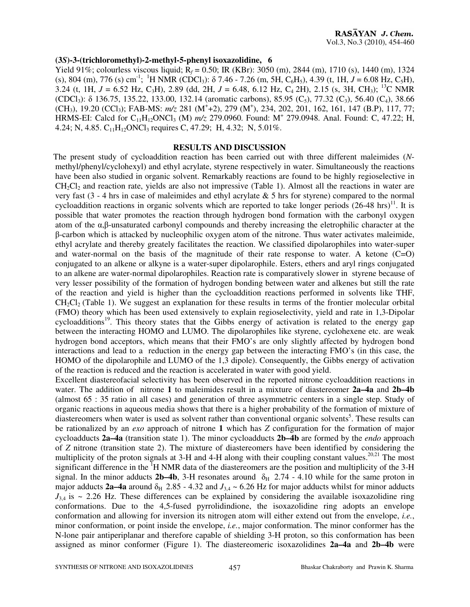#### **(3***S***)-3-(trichloromethyl)-2-methyl-5-phenyl isoxazolidine, 6**

Yield 91%; colourless viscous liquid; R<sub>f</sub> = 0.50; IR (KBr): 3050 (m), 2844 (m), 1710 (s), 1440 (m), 1324 (s), 804 (m), 776 (s) cm<sup>-1</sup>; <sup>1</sup>H NMR (CDCl<sub>3</sub>):  $\delta$  7.46 - 7.26 (m, 5H, C<sub>6</sub>H<sub>5</sub>), 4.39 (t, 1H, *J* = 6.08 Hz, C<sub>5</sub>H), 3.24 (t, 1H,  $J = 6.52$  Hz, C<sub>3</sub>H), 2.89 (dd, 2H,  $J = 6.48$ , 6.12 Hz, C<sub>4</sub> 2H), 2.15 (s, 3H, CH<sub>3</sub>); <sup>13</sup>C NMR (CDCl3): δ 136.75, 135.22, 133.00, 132.14 (aromatic carbons), 85.95 (C5), 77.32 (C3), 56.40 (C4), 38.66 (CH<sub>3</sub>), 19.20 (CCl<sub>3</sub>); FAB-MS:  $m/z$  281 (M<sup>+</sup>+2), 279 (M<sup>+</sup>), 234, 202, 201, 162, 161, 147 (B.P), 117, 77; HRMS-EI: Calcd for C<sub>11</sub>H<sub>12</sub>ONCl<sub>3</sub> (M)  $m/z$  279.0960. Found: M<sup>+</sup> 279.0948. Anal. Found: C, 47.22; H, 4.24; N, 4.85.  $C_{11}H_{12}$ ONCl<sub>3</sub> requires C, 47.29; H, 4.32; N, 5.01%.

#### **RESULTS AND DISCUSSION**

 The present study of cycloaddition reaction has been carried out with three different maleimides (*N*methyl/phenyl/cyclohexyl) and ethyl acrylate, styrene respectively in water. Simultaneously the reactions have been also studied in organic solvent. Remarkably reactions are found to be highly regioselective in  $CH_2Cl_2$  and reaction rate, yields are also not impressive (Table 1). Almost all the reactions in water are very fast  $(3 - 4)$  hrs in case of maleimides and ethyl acrylate & 5 hrs for styrene) compared to the normal cycloaddition reactions in organic solvents which are reported to take longer periods  $(26-48 \text{ hrs})^{11}$ . It is possible that water promotes the reaction through hydrogen bond formation with the carbonyl oxygen atom of the α,β-unsaturated carbonyl compounds and thereby increasing the eletrophilic character at the β-carbon which is attacked by nucleophilic oxygen atom of the nitrone. Thus water activates maleimide, ethyl acrylate and thereby greately facilitates the reaction. We classified dipolarophiles into water-super and water-normal on the basis of the magnitude of their rate response to water. A ketone (C=O) conjugated to an alkene or alkyne is a water-super dipolarophile. Esters, ethers and aryl rings conjugated to an alkene are water-normal dipolarophiles. Reaction rate is comparatively slower in styrene because of very lesser possibility of the formation of hydrogen bonding between water and alkenes but still the rate of the reaction and yield is higher than the cycloaddition reactions performed in solvents like THF,  $CH_2Cl_2$  (Table 1). We suggest an explanation for these results in terms of the frontier molecular orbital (FMO) theory which has been used extensively to explain regioselectivity, yield and rate in 1,3-Dipolar  $cycloadditions<sup>19</sup>$ . This theory states that the Gibbs energy of activation is related to the energy gap between the interacting HOMO and LUMO. The dipolarophiles like styrene, cyclohexene etc. are weak hydrogen bond acceptors, which means that their FMO's are only slightly affected by hydrogen bond interactions and lead to a reduction in the energy gap between the interacting FMO's (in this case, the HOMO of the dipolarophile and LUMO of the 1,3 dipole). Consequently, the Gibbs energy of activation of the reaction is reduced and the reaction is accelerated in water with good yield.

 Excellent diastereofacial selectivity has been observed in the reported nitrone cycloaddition reactions in water. The addition of nitrone **1** to maleimides result in a mixture of diastereomer **2a–4a** and **2b–4b** (almost 65 : 35 ratio in all cases) and generation of three asymmetric centers in a single step. Study of organic reactions in aqueous media shows that there is a higher probability of the formation of mixture of diastereomers when water is used as solvent rather than conventional organic solvents<sup>5</sup>. These results can be rationalized by an *exo* approach of nitrone **1** which has *Z* configuration for the formation of major cycloadducts **2a–4a** (transition state 1). The minor cycloadducts **2b–4b** are formed by the *endo* approach of *Z* nitrone (transition state 2). The mixture of diastereomers have been identified by considering the multiplicity of the proton signals at 3-H and 4-H along with their coupling constant values.<sup>20,21</sup> The most significant difference in the  ${}^{1}H$  NMR data of the diastereomers are the position and multiplicity of the 3-H signal. In the minor adducts **2b–4b**, 3-H resonates around  $\delta_H$  2.74 - 4.10 while for the same proton in major adducts **2a–4a** around  $\delta_H$  2.85 - 4.32 and  $J_{3,4} \sim 6.26$  Hz for major adducts whilst for minor adducts  $J_{3,4}$  is  $\sim$  2.26 Hz. These differences can be explained by considering the available isoxazolidine ring conformations. Due to the 4,5-fused pyrrolidindione, the isoxazolidine ring adopts an envelope conformation and allowing for inversion its nitrogen atom will either extend out from the envelope, *i.e.*, minor conformation, or point inside the envelope, *i.e.*, major conformation. The minor conformer has the N-lone pair antiperiplanar and therefore capable of shielding 3-H proton, so this conformation has been assigned as minor conformer (Figure 1). The diastereomeric isoxazolidines **2a–4a** and **2b–4b** were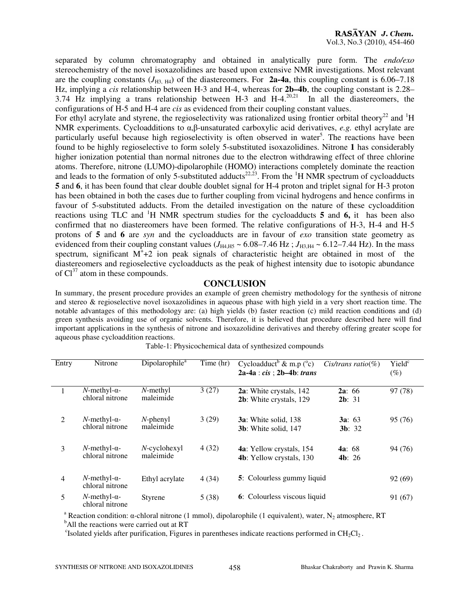separated by column chromatography and obtained in analytically pure form. The *endo/exo* stereochemistry of the novel isoxazolidines are based upon extensive NMR investigations. Most relevant are the coupling constants  $(J_{H3, H4})$  of the diastereomers. For **2a-4a**, this coupling constant is 6.06–7.18 Hz, implying a *cis* relationship between H-3 and H-4, whereas for **2b–4b**, the coupling constant is 2.28–  $3.74$  Hz implying a trans relationship between H-3 and H-4.<sup>20,21</sup> In all the diastereomers, the configurations of H-5 and H-4 are *cis* as evidenced from their coupling constant values.

For ethyl acrylate and styrene, the regioselectivity was rationalized using frontier orbital theory<sup>22</sup> and  ${}^{1}$ H NMR experiments. Cycloadditions to α,β-unsaturated carboxylic acid derivatives, *e.g.* ethyl acrylate are particularly useful because high regioselectivity is often observed in water<sup>5</sup>. The reactions have been found to be highly regioselective to form solely 5-substituted isoxazolidines. Nitrone **1** has considerably higher ionization potential than normal nitrones due to the electron withdrawing effect of three chlorine atoms. Therefore, nitrone (LUMO)-dipolarophile (HOMO) interactions completely dominate the reaction and leads to the formation of only 5-substituted adducts<sup>22,23</sup>. From the <sup>1</sup>H NMR spectrum of cycloadducts **5** and **6**, it has been found that clear double doublet signal for H-4 proton and triplet signal for H-3 proton has been obtained in both the cases due to further coupling from vicinal hydrogens and hence confirms in favour of 5-substituted adducts. From the detailed investigation on the nature of these cycloaddition reactions using TLC and <sup>1</sup>H NMR spectrum studies for the cycloadducts **5** and **6,** it has been also confirmed that no diastereomers have been formed. The relative configurations of H-3, H-4 and H-5 protons of **5** and **6** are *syn* and the cycloadducts are in favour of *exo* transition state geometry as evidenced from their coupling constant values  $(J_{H4,H5} \sim 6.08 - 7.46 \text{ Hz}$ ;  $J_{H3,H4} \sim 6.12 - 7.44 \text{ Hz}$ ). In the mass spectrum, significant  $M^+$ +2 ion peak signals of characteristic height are obtained in most of the diastereomers and regioselective cycloadducts as the peak of highest intensity due to isotopic abundance of  $Cl<sup>37</sup>$  atom in these compounds.

## **CONCLUSION**

In summary, the present procedure provides an example of green chemistry methodology for the synthesis of nitrone and stereo & regioselective novel isoxazolidines in aqueous phase with high yield in a very short reaction time. The notable advantages of this methodology are: (a) high yields (b) faster reaction (c) mild reaction conditions and (d) green synthesis avoiding use of organic solvents. Therefore, it is believed that procedure described here will find important applications in the synthesis of nitrone and isoxazolidine derivatives and thereby offering greater scope for aqueous phase cycloaddition reactions.

| Entry          | Nitrone                                    | Dipolarophile <sup>a</sup>   | Time (hr) | Cycloadduct <sup>b</sup> & m.p $(^{\circ}c)$<br>$2a-4a : cis : 2b-4b : trans$ | $Cis/trans ratio(\%)$ | Yield <sup>c</sup><br>(%) |
|----------------|--------------------------------------------|------------------------------|-----------|-------------------------------------------------------------------------------|-----------------------|---------------------------|
|                | $N$ -methyl- $\alpha$ -<br>chloral nitrone | $N$ -methyl<br>maleimide     | 3(27)     | 2a: White crystals, 142<br>2b: White crystals, 129                            | 2a: 66<br>2b: 31      | 97 (78)                   |
| 2              | $N$ -methyl- $\alpha$ -<br>chloral nitrone | $N$ -phenyl<br>maleimide     | 3(29)     | <b>3a</b> : White solid, 138<br><b>3b</b> : White solid, 147                  | 3a: 63<br>3b: 32      | 95 (76)                   |
| 3              | $N$ -methyl- $\alpha$ -<br>chloral nitrone | $N$ -cyclohexyl<br>maleimide | 4(32)     | <b>4a</b> : Yellow crystals, 154<br><b>4b</b> : Yellow crystals, 130          | 4a: 68<br>4b: 26      | 94 (76)                   |
| $\overline{4}$ | $N$ -methyl- $\alpha$ -<br>chloral nitrone | Ethyl acrylate               | 4(34)     | 5: Colourless gummy liquid                                                    |                       | 92 (69)                   |
| 5              | $N$ -methyl- $\alpha$ -<br>chloral nitrone | <b>Styrene</b>               | 5(38)     | 6: Colourless viscous liquid                                                  |                       | 91 (67)                   |

Table-1: Physicochemical data of synthesized compounds

<sup>a</sup> Reaction condition: α-chloral nitrone (1 mmol), dipolarophile (1 equivalent), water, N<sub>2</sub> atmosphere, RT

 $<sup>b</sup>$ All the reactions were carried out at RT</sup>

 $c<sup>c</sup>$ Isolated yields after purification, Figures in parentheses indicate reactions performed in CH<sub>2</sub>Cl<sub>2</sub>.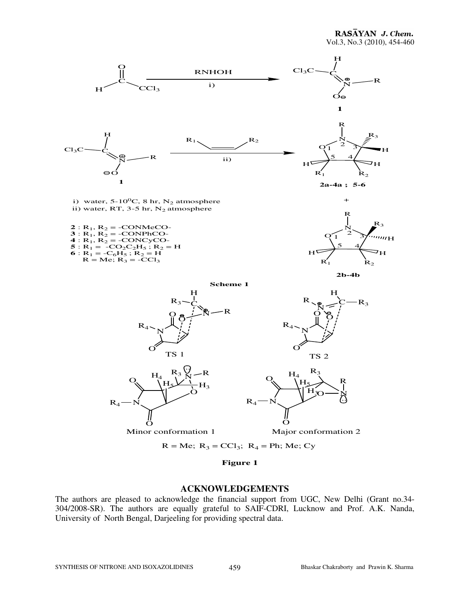

**Figure 1**

## **ACKNOWLEDGEMENTS**

The authors are pleased to acknowledge the financial support from UGC, New Delhi (Grant no.34- 304/2008-SR). The authors are equally grateful to SAIF-CDRI, Lucknow and Prof. A.K. Nanda, University of North Bengal, Darjeeling for providing spectral data.